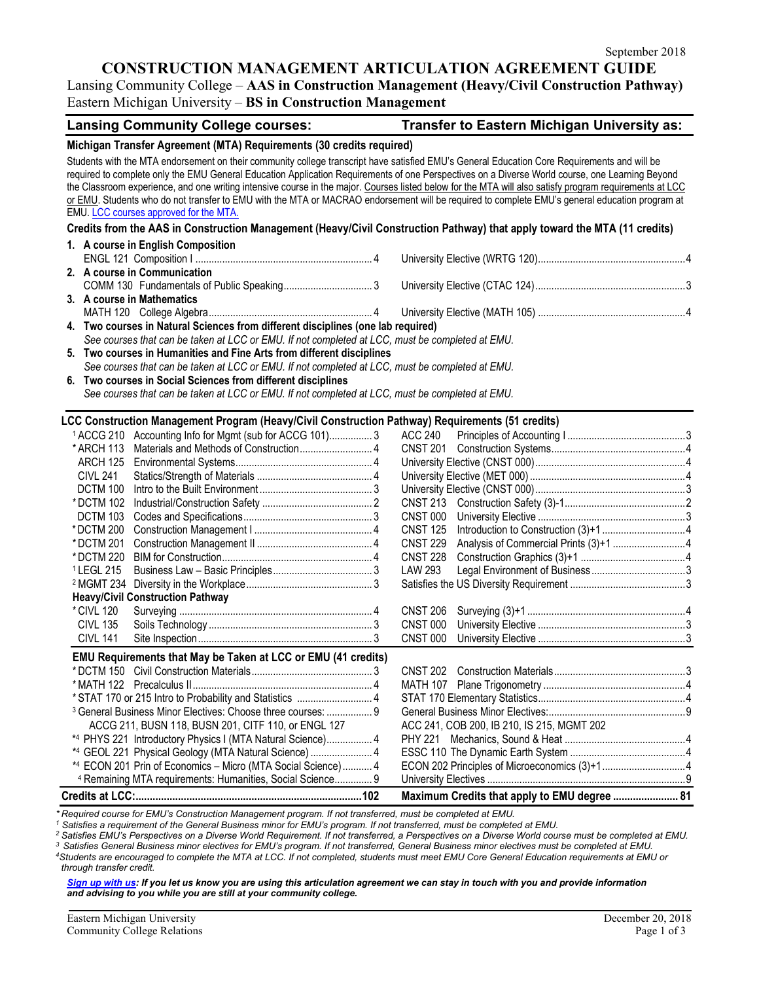#### **CONSTRUCTION MANAGEMENT ARTICULATION AGREEMENT GUIDE**

Lansing Community College – **AAS in Construction Management (Heavy/Civil Construction Pathway)** Eastern Michigan University – **BS in Construction Management**

|                                                                                                                                                                                                                                                                                                                                                                                                                                                                                                                                                                                                                                                        | <b>Lansing Community College courses:</b>                                                        |  | Transfer to Eastern Michigan University as:  |  |  |  |  |  |
|--------------------------------------------------------------------------------------------------------------------------------------------------------------------------------------------------------------------------------------------------------------------------------------------------------------------------------------------------------------------------------------------------------------------------------------------------------------------------------------------------------------------------------------------------------------------------------------------------------------------------------------------------------|--------------------------------------------------------------------------------------------------|--|----------------------------------------------|--|--|--|--|--|
| Michigan Transfer Agreement (MTA) Requirements (30 credits required)                                                                                                                                                                                                                                                                                                                                                                                                                                                                                                                                                                                   |                                                                                                  |  |                                              |  |  |  |  |  |
| Students with the MTA endorsement on their community college transcript have satisfied EMU's General Education Core Requirements and will be<br>required to complete only the EMU General Education Application Requirements of one Perspectives on a Diverse World course, one Learning Beyond<br>the Classroom experience, and one writing intensive course in the major. Courses listed below for the MTA will also satisfy program requirements at LCC<br>or EMU. Students who do not transfer to EMU with the MTA or MACRAO endorsement will be required to complete EMU's general education program at<br>EMU. LCC courses approved for the MTA. |                                                                                                  |  |                                              |  |  |  |  |  |
| Credits from the AAS in Construction Management (Heavy/Civil Construction Pathway) that apply toward the MTA (11 credits)                                                                                                                                                                                                                                                                                                                                                                                                                                                                                                                              |                                                                                                  |  |                                              |  |  |  |  |  |
|                                                                                                                                                                                                                                                                                                                                                                                                                                                                                                                                                                                                                                                        | 1. A course in English Composition                                                               |  |                                              |  |  |  |  |  |
|                                                                                                                                                                                                                                                                                                                                                                                                                                                                                                                                                                                                                                                        |                                                                                                  |  |                                              |  |  |  |  |  |
|                                                                                                                                                                                                                                                                                                                                                                                                                                                                                                                                                                                                                                                        | 2. A course in Communication                                                                     |  |                                              |  |  |  |  |  |
|                                                                                                                                                                                                                                                                                                                                                                                                                                                                                                                                                                                                                                                        |                                                                                                  |  |                                              |  |  |  |  |  |
| 3. A course in Mathematics                                                                                                                                                                                                                                                                                                                                                                                                                                                                                                                                                                                                                             |                                                                                                  |  |                                              |  |  |  |  |  |
|                                                                                                                                                                                                                                                                                                                                                                                                                                                                                                                                                                                                                                                        |                                                                                                  |  |                                              |  |  |  |  |  |
|                                                                                                                                                                                                                                                                                                                                                                                                                                                                                                                                                                                                                                                        | 4. Two courses in Natural Sciences from different disciplines (one lab required)                 |  |                                              |  |  |  |  |  |
|                                                                                                                                                                                                                                                                                                                                                                                                                                                                                                                                                                                                                                                        | See courses that can be taken at LCC or EMU. If not completed at LCC, must be completed at EMU.  |  |                                              |  |  |  |  |  |
|                                                                                                                                                                                                                                                                                                                                                                                                                                                                                                                                                                                                                                                        | 5. Two courses in Humanities and Fine Arts from different disciplines                            |  |                                              |  |  |  |  |  |
|                                                                                                                                                                                                                                                                                                                                                                                                                                                                                                                                                                                                                                                        | See courses that can be taken at LCC or EMU. If not completed at LCC, must be completed at EMU.  |  |                                              |  |  |  |  |  |
|                                                                                                                                                                                                                                                                                                                                                                                                                                                                                                                                                                                                                                                        | 6. Two courses in Social Sciences from different disciplines                                     |  |                                              |  |  |  |  |  |
|                                                                                                                                                                                                                                                                                                                                                                                                                                                                                                                                                                                                                                                        | See courses that can be taken at LCC or EMU. If not completed at LCC, must be completed at EMU.  |  |                                              |  |  |  |  |  |
|                                                                                                                                                                                                                                                                                                                                                                                                                                                                                                                                                                                                                                                        |                                                                                                  |  |                                              |  |  |  |  |  |
|                                                                                                                                                                                                                                                                                                                                                                                                                                                                                                                                                                                                                                                        | LCC Construction Management Program (Heavy/Civil Construction Pathway) Requirements (51 credits) |  |                                              |  |  |  |  |  |
| * ARCH 113                                                                                                                                                                                                                                                                                                                                                                                                                                                                                                                                                                                                                                             | <sup>1</sup> ACCG 210 Accounting Info for Mgmt (sub for ACCG 101) 3                              |  | <b>ACC 240</b>                               |  |  |  |  |  |
| ARCH 125                                                                                                                                                                                                                                                                                                                                                                                                                                                                                                                                                                                                                                               |                                                                                                  |  |                                              |  |  |  |  |  |
| <b>CIVL 241</b>                                                                                                                                                                                                                                                                                                                                                                                                                                                                                                                                                                                                                                        |                                                                                                  |  |                                              |  |  |  |  |  |
| DCTM 100                                                                                                                                                                                                                                                                                                                                                                                                                                                                                                                                                                                                                                               |                                                                                                  |  |                                              |  |  |  |  |  |
| * DCTM 102                                                                                                                                                                                                                                                                                                                                                                                                                                                                                                                                                                                                                                             |                                                                                                  |  |                                              |  |  |  |  |  |
| <b>DCTM 103</b>                                                                                                                                                                                                                                                                                                                                                                                                                                                                                                                                                                                                                                        |                                                                                                  |  | <b>CNST 000</b>                              |  |  |  |  |  |
| *DCTM 200                                                                                                                                                                                                                                                                                                                                                                                                                                                                                                                                                                                                                                              |                                                                                                  |  | <b>CNST 125</b>                              |  |  |  |  |  |
| * DCTM 201                                                                                                                                                                                                                                                                                                                                                                                                                                                                                                                                                                                                                                             |                                                                                                  |  | <b>CNST 229</b>                              |  |  |  |  |  |
| * DCTM 220                                                                                                                                                                                                                                                                                                                                                                                                                                                                                                                                                                                                                                             |                                                                                                  |  | <b>CNST 228</b>                              |  |  |  |  |  |
| <sup>1</sup> LEGL 215                                                                                                                                                                                                                                                                                                                                                                                                                                                                                                                                                                                                                                  |                                                                                                  |  | <b>LAW 293</b>                               |  |  |  |  |  |
|                                                                                                                                                                                                                                                                                                                                                                                                                                                                                                                                                                                                                                                        |                                                                                                  |  |                                              |  |  |  |  |  |
|                                                                                                                                                                                                                                                                                                                                                                                                                                                                                                                                                                                                                                                        | <b>Heavy/Civil Construction Pathway</b>                                                          |  |                                              |  |  |  |  |  |
| * CIVL 120                                                                                                                                                                                                                                                                                                                                                                                                                                                                                                                                                                                                                                             |                                                                                                  |  | <b>CNST 206</b>                              |  |  |  |  |  |
| <b>CIVL 135</b>                                                                                                                                                                                                                                                                                                                                                                                                                                                                                                                                                                                                                                        |                                                                                                  |  | <b>CNST 000</b>                              |  |  |  |  |  |
| <b>CIVL 141</b>                                                                                                                                                                                                                                                                                                                                                                                                                                                                                                                                                                                                                                        |                                                                                                  |  | <b>CNST 000</b>                              |  |  |  |  |  |
|                                                                                                                                                                                                                                                                                                                                                                                                                                                                                                                                                                                                                                                        | EMU Requirements that May be Taken at LCC or EMU (41 credits)                                    |  |                                              |  |  |  |  |  |
|                                                                                                                                                                                                                                                                                                                                                                                                                                                                                                                                                                                                                                                        |                                                                                                  |  |                                              |  |  |  |  |  |
|                                                                                                                                                                                                                                                                                                                                                                                                                                                                                                                                                                                                                                                        |                                                                                                  |  |                                              |  |  |  |  |  |
|                                                                                                                                                                                                                                                                                                                                                                                                                                                                                                                                                                                                                                                        | * STAT 170 or 215 Intro to Probability and Statistics  4                                         |  |                                              |  |  |  |  |  |
|                                                                                                                                                                                                                                                                                                                                                                                                                                                                                                                                                                                                                                                        | <sup>3</sup> General Business Minor Electives: Choose three courses:  9                          |  |                                              |  |  |  |  |  |
|                                                                                                                                                                                                                                                                                                                                                                                                                                                                                                                                                                                                                                                        | ACCG 211, BUSN 118, BUSN 201, CITF 110, or ENGL 127                                              |  | ACC 241, COB 200, IB 210, IS 215, MGMT 202   |  |  |  |  |  |
|                                                                                                                                                                                                                                                                                                                                                                                                                                                                                                                                                                                                                                                        | *4 PHYS 221 Introductory Physics I (MTA Natural Science) 4                                       |  |                                              |  |  |  |  |  |
|                                                                                                                                                                                                                                                                                                                                                                                                                                                                                                                                                                                                                                                        | *4 GEOL 221 Physical Geology (MTA Natural Science)  4                                            |  |                                              |  |  |  |  |  |
|                                                                                                                                                                                                                                                                                                                                                                                                                                                                                                                                                                                                                                                        | *4 ECON 201 Prin of Economics - Micro (MTA Social Science) 4                                     |  | ECON 202 Principles of Microeconomics (3)+14 |  |  |  |  |  |
|                                                                                                                                                                                                                                                                                                                                                                                                                                                                                                                                                                                                                                                        | <sup>4</sup> Remaining MTA requirements: Humanities, Social Science 9                            |  |                                              |  |  |  |  |  |
|                                                                                                                                                                                                                                                                                                                                                                                                                                                                                                                                                                                                                                                        |                                                                                                  |  | Maximum Credits that apply to EMU degree  81 |  |  |  |  |  |

*\* Required course for EMU's Construction Management program. If not transferred, must be completed at EMU.*

*<sup>1</sup> Satisfies a requirement of the General Business minor for EMU's program. If not transferred, must be completed at EMU.*

*<sup>2</sup> Satisfies EMU's Perspectives on a Diverse World Requirement. If not transferred, a Perspectives on a Diverse World course must be completed at EMU.*

*<sup>3</sup> Satisfies General Business minor electives for EMU's program. If not transferred, General Business minor electives must be completed at EMU.*

*4Students are encouraged to complete the MTA at LCC. If not completed, students must meet EMU Core General Education requirements at EMU or through transfer credit.* 

*[Sign up with us:](https://www.emich.edu/ccr/articulation-agreements/signup.php) If you let us know you are using this articulation agreement we can stay in touch with you and provide information and advising to you while you are still at your community college.*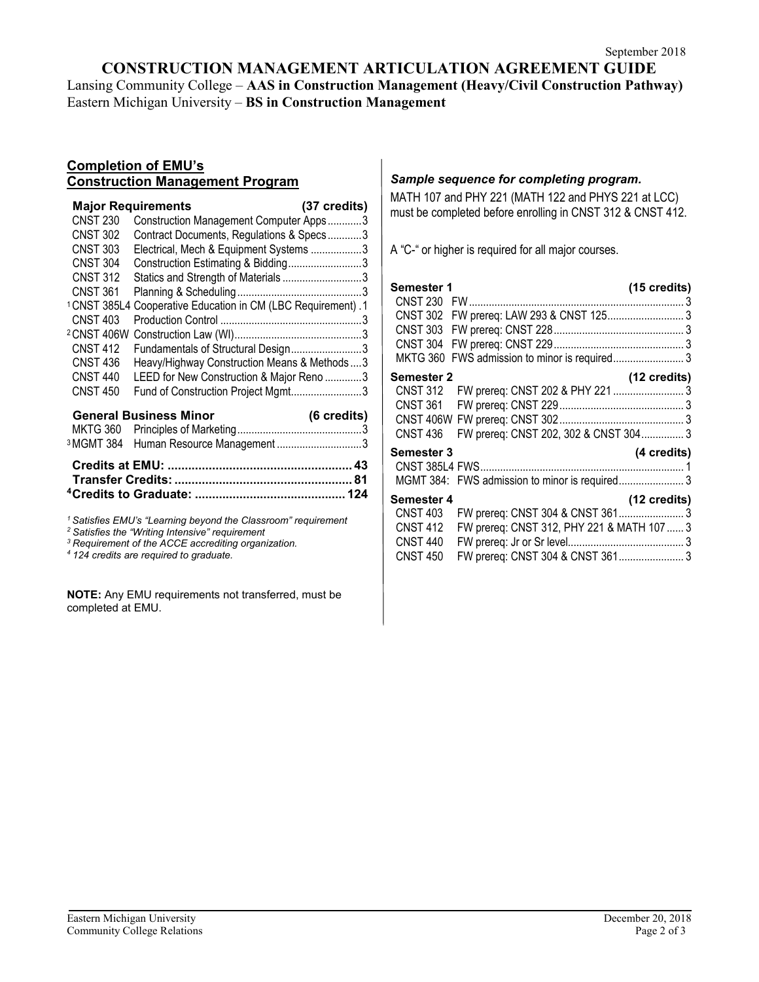#### **CONSTRUCTION MANAGEMENT ARTICULATION AGREEMENT GUIDE** Lansing Community College – **AAS in Construction Management (Heavy/Civil Construction Pathway)** Eastern Michigan University – **BS in Construction Management**

#### **Completion of EMU's Construction Management Program**

| <b>CNST 230</b><br><b>CNST 302</b><br><b>CNST 303</b><br><b>CNST 304</b><br><b>CNST 312</b><br><b>CNST 361</b>                                   | <b>Major Requirements</b><br>Construction Management Computer Apps3<br>Contract Documents, Regulations & Specs3<br>Electrical, Mech & Equipment Systems 3<br>Construction Estimating & Bidding3<br>Statics and Strength of Materials3 | (37 credits) |
|--------------------------------------------------------------------------------------------------------------------------------------------------|---------------------------------------------------------------------------------------------------------------------------------------------------------------------------------------------------------------------------------------|--------------|
| <sup>1</sup> CNST 385L4<br><b>CNST 403</b><br><sup>2</sup> CNST 406W<br><b>CNST 412</b><br><b>CNST 436</b><br><b>CNST 440</b><br><b>CNST 450</b> | Cooperative Education in CM (LBC Requirement) .1<br>Fundamentals of Structural Design3<br>Heavy/Highway Construction Means & Methods3<br>LEED for New Construction & Major Reno 3<br>Fund of Construction Project Mgmt3               |              |
| <sup>3</sup> MGMT 384                                                                                                                            | <b>General Business Minor</b><br>Human Resource Management3                                                                                                                                                                           | (6 credits)  |

*<sup>1</sup> Satisfies EMU's "Learning beyond the Classroom" requirement <sup>2</sup> Satisfies the "Writing Intensive" requirement*

*<sup>3</sup> Requirement of the ACCE accrediting organization.*

*<sup>4</sup> 124 credits are required to graduate.*

**NOTE:** Any EMU requirements not transferred, must be completed at EMU.

## *Sample sequence for completing program.*

MATH 107 and PHY 221 (MATH 122 and PHYS 221 at LCC) must be completed before enrolling in CNST 312 & CNST 412.

A "C-" or higher is required for all major courses.

| Semester 1<br><b>CNST 230</b> |                                            | $(15 \text{ credits})$<br>3 |
|-------------------------------|--------------------------------------------|-----------------------------|
| <b>CNST 302</b>               | FW prereq: LAW 293 & CNST 125 3            |                             |
| <b>CNST 303</b>               |                                            |                             |
| <b>CNST 304</b>               |                                            |                             |
| <b>MKTG 360</b>               | FWS admission to minor is required 3       |                             |
| <b>Semester 2</b>             |                                            | (12 credits)                |
| <b>CNST 312</b>               | FW prereq: CNST 202 & PHY 221  3           |                             |
| <b>CNST 361</b>               |                                            |                             |
|                               |                                            |                             |
| <b>CNST 436</b>               | FW prereq: CNST 202, 302 & CNST 304 3      |                             |
| <b>Semester 3</b>             |                                            | (4 credits)                 |
|                               |                                            |                             |
|                               |                                            |                             |
| Semester 4                    |                                            | (12 credits)                |
| <b>CNST 403</b>               |                                            |                             |
| <b>CNST 412</b>               | FW prereq: CNST 312, PHY 221 & MATH 107  3 |                             |
| <b>CNST 440</b>               |                                            |                             |
| <b>CNST 450</b>               | FW prereq: CNST 304 & CNST 361 3           |                             |